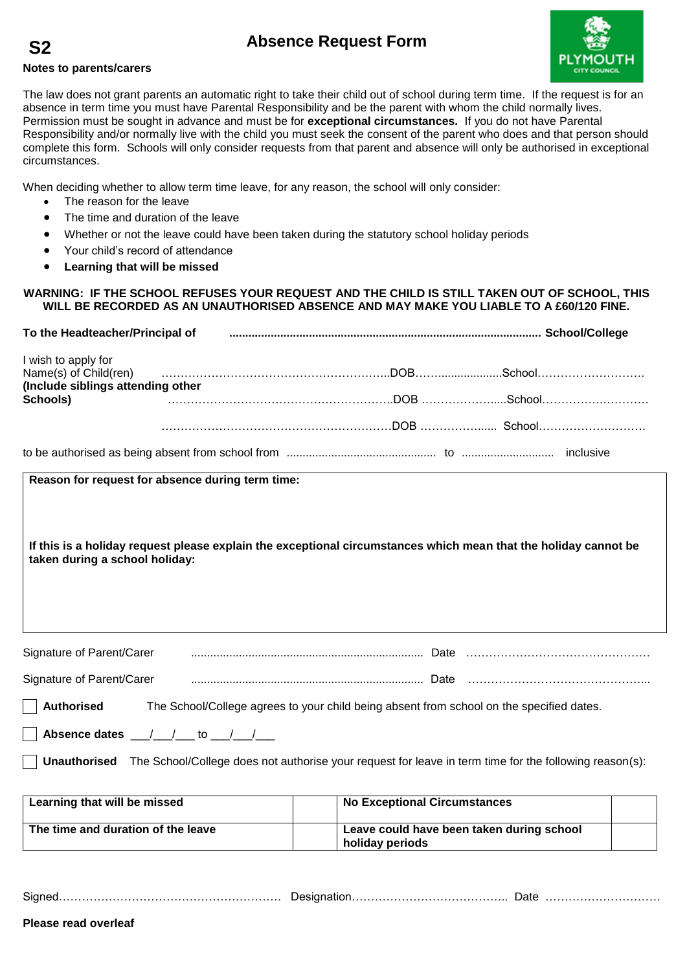## **Absence Request Form**

## **Notes to parents/carers**

**S2**



The law does not grant parents an automatic right to take their child out of school during term time. If the request is for an absence in term time you must have Parental Responsibility and be the parent with whom the child normally lives. Permission must be sought in advance and must be for **exceptional circumstances.** If you do not have Parental Responsibility and/or normally live with the child you must seek the consent of the parent who does and that person should complete this form. Schools will only consider requests from that parent and absence will only be authorised in exceptional circumstances.

When deciding whether to allow term time leave, for any reason, the school will only consider:

- The reason for the leave
- The time and duration of the leave
- Whether or not the leave could have been taken during the statutory school holiday periods
- Your child's record of attendance
- **Learning that will be missed**

## **WARNING: IF THE SCHOOL REFUSES YOUR REQUEST AND THE CHILD IS STILL TAKEN OUT OF SCHOOL, THIS WILL BE RECORDED AS AN UNAUTHORISED ABSENCE AND MAY MAKE YOU LIABLE TO A £60/120 FINE.**

| To the Headteacher/Principal of               |                                                                                                                                                                                                                                |  |
|-----------------------------------------------|--------------------------------------------------------------------------------------------------------------------------------------------------------------------------------------------------------------------------------|--|
| I wish to apply for                           | Name(s) of Child(ren) (and according continuum control control of Child(ren) (and according control control control control control control control control control control control control control control control control co |  |
| (Include siblings attending other<br>Schools) |                                                                                                                                                                                                                                |  |
|                                               |                                                                                                                                                                                                                                |  |
|                                               |                                                                                                                                                                                                                                |  |

**Reason for request for absence during term time:**

**If this is a holiday request please explain the exceptional circumstances which mean that the holiday cannot be taken during a school holiday:**

| Signature of Parent/Carer                 |                                                                                                                     |
|-------------------------------------------|---------------------------------------------------------------------------------------------------------------------|
| Signature of Parent/Carer                 |                                                                                                                     |
| <b>Authorised</b>                         | The School/College agrees to your child being absent from school on the specified dates.                            |
| $\Box$ Absence dates __/__/__ to __/__/__ |                                                                                                                     |
|                                           | Unauthorised The School/College does not authorise your request for leave in term time for the following reason(s): |

| Learning that will be missed       | <b>No Exceptional Circumstances</b>                          |  |
|------------------------------------|--------------------------------------------------------------|--|
| The time and duration of the leave | Leave could have been taken during school<br>holiday periods |  |

Signed…………………………………………………. Designation………………………………….. Date …………………………

**Please read overleaf**